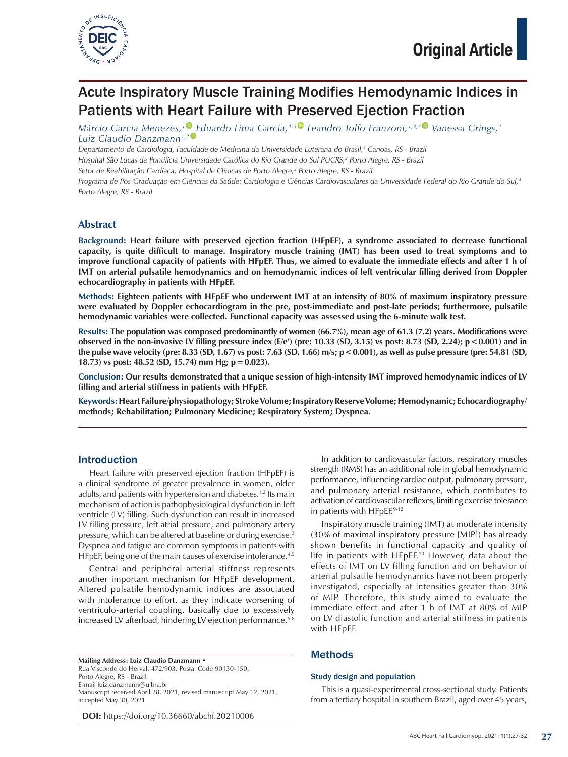

# Acute Inspiratory Muscle Training Modifies Hemodynamic Indices in Patients with Heart Failure with Preserved Ejection Fraction

*Márcio Garcia Menezes,[1](https://orcid.org/0000-0001-8158-6151) [E](https://orcid.org/0000-0002-5774-2780)duardo Lima Garcia,1,[3](https://orcid.org/0000-0002-8126-7211) Leandro Tolfo Franzoni,1,3,[4](https://orcid.org/0000-0002-6327-1428) Vanessa Grings,1 Luiz Claudio Danzmann1,2*

*Departamento de Cardiologia, Faculdade de Medicina da Universidade Luterana do Brasil,1 Canoas, RS - Brazil Hospital São Lucas da Pontifícia Universidade Católica do Rio Grande do Sul PUCRS,2 Porto Alegre, RS - Brazil*

Setor de Reabilitação Cardíaca, Hospital de Clínicas de Porto Alegre,<sup>3</sup> Porto Alegre, RS - Brazil

*Programa de Pós-Graduação em Ciências da Saúde: Cardiologia e Ciências Cardiovasculares da Universidade Federal do Rio Grande do Sul,4 Porto Alegre, RS - Brazil*

## **Abstract**

**Background: Heart failure with preserved ejection fraction (HFpEF), a syndrome associated to decrease functional capacity, is quite difficult to manage. Inspiratory muscle training (IMT) has been used to treat symptoms and to improve functional capacity of patients with HFpEF. Thus, we aimed to evaluate the immediate effects and after 1 h of IMT on arterial pulsatile hemodynamics and on hemodynamic indices of left ventricular filling derived from Doppler echocardiography in patients with HFpEF.**

**Methods: Eighteen patients with HFpEF who underwent IMT at an intensity of 80% of maximum inspiratory pressure were evaluated by Doppler echocardiogram in the pre, post-immediate and post-late periods; furthermore, pulsatile hemodynamic variables were collected. Functional capacity was assessed using the 6-minute walk test.**

**Results: The population was composed predominantly of women (66.7%), mean age of 61.3 (7.2) years. Modifications were observed in the non-invasive LV filling pressure index (E/e') (pre: 10.33 (SD, 3.15) vs post: 8.73 (SD, 2.24); p<0.001) and in the pulse wave velocity (pre: 8.33 (SD, 1.67) vs post: 7.63 (SD, 1.66) m/s; p<0.001), as well as pulse pressure (pre: 54.81 (SD, 18.73) vs post: 48.52 (SD, 15.74) mm Hg; p=0.023).**

**Conclusion: Our results demonstrated that a unique session of high-intensity IMT improved hemodynamic indices of LV filling and arterial stiffness in patients with HFpEF.**

**Keywords: Heart Failure/physiopathology; Stroke Volume; Inspiratory Reserve Volume; Hemodynamic; Echocardiography/ methods; Rehabilitation; Pulmonary Medicine; Respiratory System; Dyspnea.**

## Introduction

Heart failure with preserved ejection fraction (HFpEF) is a clinical syndrome of greater prevalence in women, older adults, and patients with hypertension and diabetes.<sup>1,2</sup> Its main mechanism of action is pathophysiological dysfunction in left ventricle (LV) filling. Such dysfunction can result in increased LV filling pressure, left atrial pressure, and pulmonary artery pressure, which can be altered at baseline or during exercise.3 Dyspnea and fatigue are common symptoms in patients with HFpEF, being one of the main causes of exercise intolerance.<sup>4,5</sup>

Central and peripheral arterial stiffness represents another important mechanism for HFpEF development. Altered pulsatile hemodynamic indices are associated with intolerance to effort, as they indicate worsening of ventriculo-arterial coupling, basically due to excessively increased LV afterload, hindering LV ejection performance. 6-8

**Mailing Address: Luiz Claudio Danzmann** • Rua Visconde do Herval, 472/903. Postal Code 90130-150, Porto Alegre, RS - Brazil E-mail luiz.danzmann@ulbra.br Manuscript received April 28, 2021, revised manuscript May 12, 2021, accepted May 30, 2021

**DOI:** https://doi.org/10.36660/abchf.20210006

In addition to cardiovascular factors, respiratory muscles strength (RMS) has an additional role in global hemodynamic performance, influencing cardiac output, pulmonary pressure, and pulmonary arterial resistance, which contributes to activation of cardiovascular reflexes, limiting exercise tolerance in patients with HFpEF.9-12

Inspiratory muscle training (IMT) at moderate intensity (30% of maximal inspiratory pressure [MIP]) has already shown benefits in functional capacity and quality of life in patients with HFpEF. 13 However, data about the effects of IMT on LV filling function and on behavior of arterial pulsatile hemodynamics have not been properly investigated, especially at intensities greater than 30% of MIP. Therefore, this study aimed to evaluate the immediate effect and after 1 h of IMT at 80% of MIP on LV diastolic function and arterial stiffness in patients with HFpEF.

## Methods

#### Study design and population

This is a quasi-experimental cross-sectional study. Patients from a tertiary hospital in southern Brazil, aged over 45 years,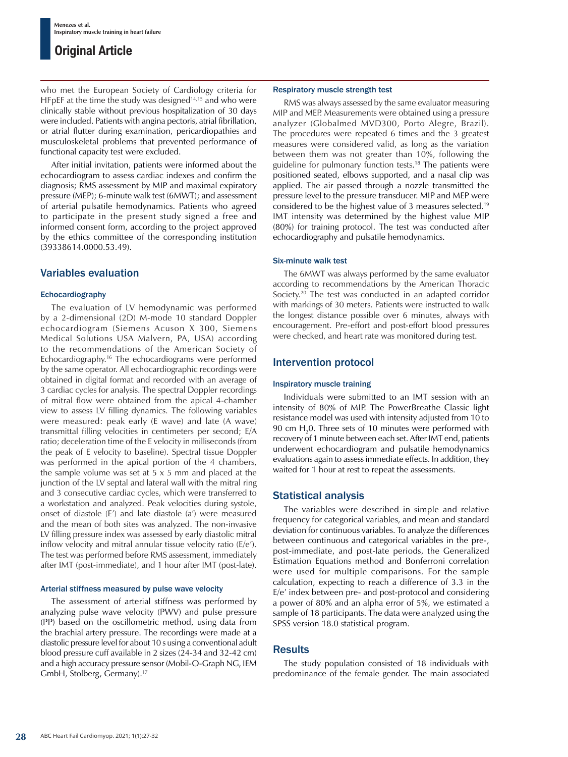## **Original Article**

who met the European Society of Cardiology criteria for HFpEF at the time the study was designed<sup>14,15</sup> and who were clinically stable without previous hospitalization of 30 days were included. Patients with angina pectoris, atrial fibrillation, or atrial flutter during examination, pericardiopathies and musculoskeletal problems that prevented performance of functional capacity test were excluded.

After initial invitation, patients were informed about the echocardiogram to assess cardiac indexes and confirm the diagnosis; RMS assessment by MIP and maximal expiratory pressure (MEP); 6-minute walk test (6MWT); and assessment of arterial pulsatile hemodynamics. Patients who agreed to participate in the present study signed a free and informed consent form, according to the project approved by the ethics committee of the corresponding institution (39338614.0000.53.49).

## Variables evaluation

#### Echocardiography

The evaluation of LV hemodynamic was performed by a 2-dimensional (2D) M-mode 10 standard Doppler echocardiogram (Siemens Acuson X 300, Siemens Medical Solutions USA Malvern, PA, USA) according to the recommendations of the American Society of Echocardiography.16 The echocardiograms were performed by the same operator. All echocardiographic recordings were obtained in digital format and recorded with an average of 3 cardiac cycles for analysis. The spectral Doppler recordings of mitral flow were obtained from the apical 4-chamber view to assess LV filling dynamics. The following variables were measured: peak early (E wave) and late (A wave) transmittal filling velocities in centimeters per second; E/A ratio; deceleration time of the E velocity in milliseconds (from the peak of E velocity to baseline). Spectral tissue Doppler was performed in the apical portion of the 4 chambers, the sample volume was set at  $5 \times 5$  mm and placed at the junction of the LV septal and lateral wall with the mitral ring and 3 consecutive cardiac cycles, which were transferred to a workstation and analyzed. Peak velocities during systole, onset of diastole (E') and late diastole (a') were measured and the mean of both sites was analyzed. The non-invasive LV filling pressure index was assessed by early diastolic mitral inflow velocity and mitral annular tissue velocity ratio (E/e'). The test was performed before RMS assessment, immediately after IMT (post-immediate), and 1 hour after IMT (post-late).

#### Arterial stiffness measured by pulse wave velocity

The assessment of arterial stiffness was performed by analyzing pulse wave velocity (PWV) and pulse pressure (PP) based on the oscillometric method, using data from the brachial artery pressure. The recordings were made at a diastolic pressure level for about 10 s using a conventional adult blood pressure cuff available in 2 sizes (24-34 and 32-42 cm) and a high accuracy pressure sensor (Mobil-O-Graph NG, IEM GmbH, Stolberg, Germany).17

#### Respiratory muscle strength test

RMS was always assessed by the same evaluator measuring MIP and MEP. Measurements were obtained using a pressure analyzer (Globalmed MVD300, Porto Alegre, Brazil). The procedures were repeated 6 times and the 3 greatest measures were considered valid, as long as the variation between them was not greater than 10%, following the guideline for pulmonary function tests. 18 The patients were positioned seated, elbows supported, and a nasal clip was applied. The air passed through a nozzle transmitted the pressure level to the pressure transducer. MIP and MEP were considered to be the highest value of 3 measures selected.19 IMT intensity was determined by the highest value MIP (80%) for training protocol. The test was conducted after echocardiography and pulsatile hemodynamics.

#### Six-minute walk test

The 6MWT was always performed by the same evaluator according to recommendations by the American Thoracic Society.<sup>20</sup> The test was conducted in an adapted corridor with markings of 30 meters. Patients were instructed to walk the longest distance possible over 6 minutes, always with encouragement. Pre-effort and post-effort blood pressures were checked, and heart rate was monitored during test.

## Intervention protocol

#### Inspiratory muscle training

Individuals were submitted to an IMT session with an intensity of 80% of MIP. The PowerBreathe Classic light resistance model was used with intensity adjusted from 10 to 90 cm  $H_2$ 0. Three sets of 10 minutes were performed with recovery of 1 minute between each set. After IMT end, patients underwent echocardiogram and pulsatile hemodynamics evaluations again to assess immediate effects. In addition, they waited for 1 hour at rest to repeat the assessments.

## Statistical analysis

The variables were described in simple and relative frequency for categorical variables, and mean and standard deviation for continuous variables. To analyze the differences between continuous and categorical variables in the pre-, post-immediate, and post-late periods, the Generalized Estimation Equations method and Bonferroni correlation were used for multiple comparisons. For the sample calculation, expecting to reach a difference of 3.3 in the E/e' index between pre- and post-protocol and considering a power of 80% and an alpha error of 5%, we estimated a sample of 18 participants. The data were analyzed using the SPSS version 18.0 statistical program.

## **Results**

The study population consisted of 18 individuals with predominance of the female gender. The main associated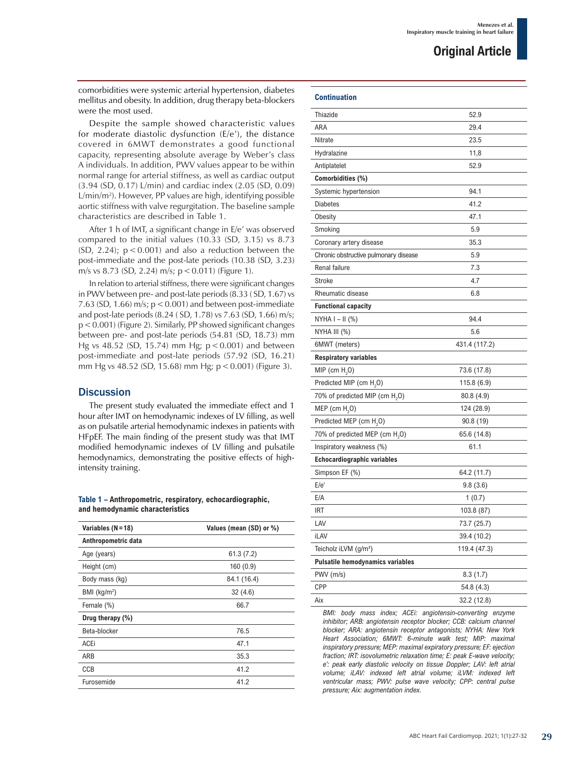comorbidities were systemic arterial hypertension, diabetes mellitus and obesity. In addition, drug therapy beta-blockers were the most used.

Despite the sample showed characteristic values for moderate diastolic dysfunction (E/e'), the distance covered in 6MWT demonstrates a good functional capacity, representing absolute average by Weber's class A individuals. In addition, PWV values appear to be within normal range for arterial stiffness, as well as cardiac output (3.94 (SD, 0.17) L/min) and cardiac index (2.05 (SD, 0.09) L/min/m2 ). However, PP values are high, identifying possible aortic stiffness with valve regurgitation. The baseline sample characteristics are described in Table 1.

After 1 h of IMT, a significant change in E/e' was observed compared to the initial values (10.33 (SD, 3.15) vs 8.73 (SD, 2.24);  $p < 0.001$ ) and also a reduction between the post-immediate and the post-late periods (10.38 (SD, 3.23) m/s vs 8.73 (SD, 2.24) m/s;  $p < 0.011$ ) (Figure 1).

In relation to arterial stiffness, there were significant changes in PWV between pre- and post-late periods (8.33 ( SD, 1.67) vs 7.63 (SD, 1.66) m/s;  $p < 0.001$ ) and between post-immediate and post-late periods (8.24 ( SD, 1.78) vs 7.63 (SD, 1.66) m/s;  $p < 0.001$ ) (Figure 2). Similarly, PP showed significant changes between pre- and post-late periods (54.81 (SD, 18.73) mm Hg vs 48.52 (SD, 15.74) mm Hg;  $p < 0.001$ ) and between post-immediate and post-late periods (57.92 (SD, 16.21) mm Hg vs 48.52 (SD, 15.68) mm Hg;  $p < 0.001$ ) (Figure 3).

## **Discussion**

The present study evaluated the immediate effect and 1 hour after IMT on hemodynamic indexes of LV filling, as well as on pulsatile arterial hemodynamic indexes in patients with HFpEF. The main finding of the present study was that IMT modified hemodynamic indexes of LV filling and pulsatile hemodynamics, demonstrating the positive effects of highintensity training.

#### **Table 1 – Anthropometric, respiratory, echocardiographic, and hemodynamic characteristics**

| Variables (N=18)    | Values (mean (SD) or %) |
|---------------------|-------------------------|
| Anthropometric data |                         |
| Age (years)         | 61.3(7.2)               |
| Height (cm)         | 160(0.9)                |
| Body mass (kg)      | 84.1 (16.4)             |
| BMI ( $kg/m2$ )     | 32(4.6)                 |
| Female (%)          | 66.7                    |
| Drug therapy $(\%)$ |                         |
| Beta-blocker        | 76.5                    |
| ACEi                | 47.1                    |
| ARB                 | 35.3                    |
| CCB                 | 41.2                    |
| Furosemide          | 41.2                    |

## **Continuation**

| continuation                               |               |
|--------------------------------------------|---------------|
| Thiazide                                   | 52.9          |
| ARA                                        | 29.4          |
| Nitrate                                    | 23.5          |
| Hydralazine                                | 11,8          |
| Antiplatelet                               | 52.9          |
| Comorbidities (%)                          |               |
| Systemic hypertension                      | 94.1          |
| <b>Diabetes</b>                            | 41.2          |
| Obesity                                    | 47.1          |
| Smoking                                    | 5.9           |
| Coronary artery disease                    | 35.3          |
| Chronic obstructive pulmonary disease      | 5.9           |
| Renal failure                              | 7.3           |
| Stroke                                     | 4.7           |
| Rheumatic disease                          | 6.8           |
| <b>Functional capacity</b>                 |               |
| $NYHA I - II (%)$                          | 94.4          |
| NYHA III (%)                               | 5.6           |
| 6MWT (meters)                              | 431.4 (117.2) |
| <b>Respiratory variables</b>               |               |
| MIP (cm $H2O$ )                            | 73.6 (17.8)   |
| Predicted MIP (cm H <sub>2</sub> O)        | 115.8(6.9)    |
| 70% of predicted MIP (cm $H_2O$ )          | 80.8(4.9)     |
| MEP (cm $H2O$ )                            | 124 (28.9)    |
| Predicted MEP (cm H <sub>2</sub> O)        | 90.8 (19)     |
| 70% of predicted MEP (cm H <sub>2</sub> O) | 65.6 (14.8)   |
| Inspiratory weakness (%)                   | 61.1          |
| Echocardiographic variables                |               |
| Simpson EF (%)                             | 64.2 (11.7)   |
| E/e'                                       | 9.8(3.6)      |
| E/A                                        | 1 (0.7)       |
| IRT                                        | 103.8 (87)    |
| LAV                                        | 73.7 (25.7)   |
| iLAV                                       | 39.4 (10.2)   |
| Teicholz iLVM (g/m <sup>2</sup> )          | 119.4 (47.3)  |
| <b>Pulsatile hemodynamics variables</b>    |               |
| PWV (m/s)                                  | 8.3(1.7)      |
| <b>CPP</b>                                 | 54.8 (4.3)    |
| Aix                                        | 32.2 (12.8)   |

*inhibitor; ARB: angiotensin receptor blocker; CCB: calcium channel blocker; ARA: angiotensin receptor antagonists; NYHA: New York Heart Association; 6MWT: 6-minute walk test; MIP: maximal inspiratory pressure; MEP: maximal expiratory pressure; EF: ejection fraction; IRT: isovolumetric relaxation time; E: peak E-wave velocity; e': peak early diastolic velocity on tissue Doppler; LAV: left atrial volume; iLAV: indexed left atrial volume; iLVM: indexed left ventricular mass; PWV: pulse wave velocity; CPP: central pulse pressure; Aix: augmentation index.*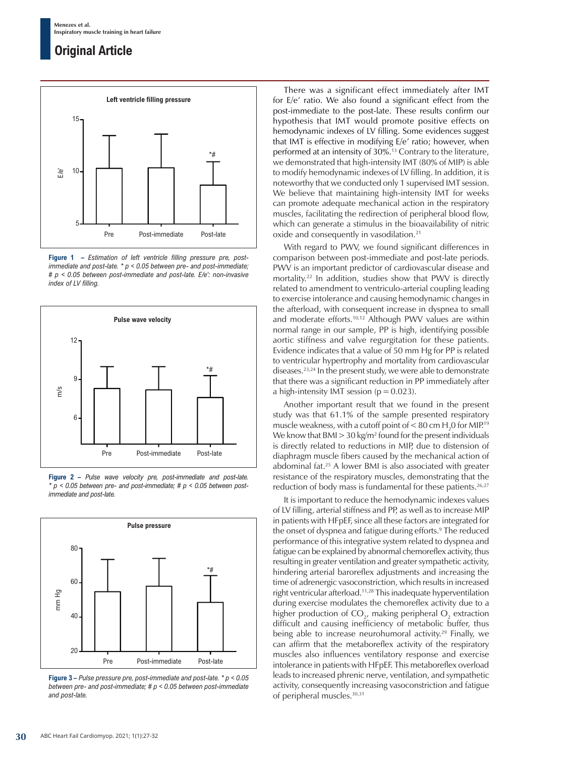## **Original Article**



**Figure 1 –** *Estimation of left ventricle filling pressure pre, postimmediate and post-late. \* p < 0.05 between pre- and post-immediate; # p < 0.05 between post-immediate and post-late. E/e': non-invasive index of LV filling.*



**Figure 2 –** *Pulse wave velocity pre, post-immediate and post-late. \* p < 0.05 between pre- and post-immediate; # p < 0.05 between postimmediate and post-late.*



**Figure 3 –** *Pulse pressure pre, post-immediate and post-late. \* p < 0.05 between pre- and post-immediate; # p < 0.05 between post-immediate and post-late.*

There was a significant effect immediately after IMT for E/e' ratio. We also found a significant effect from the post-immediate to the post-late. These results confirm our hypothesis that IMT would promote positive effects on hemodynamic indexes of LV filling. Some evidences suggest that IMT is effective in modifying E/e' ratio; however, when performed at an intensity of 30%.<sup>13</sup> Contrary to the literature, we demonstrated that high-intensity IMT (80% of MIP) is able to modify hemodynamic indexes of LV filling. In addition, it is noteworthy that we conducted only 1 supervised IMT session. We believe that maintaining high-intensity IMT for weeks can promote adequate mechanical action in the respiratory muscles, facilitating the redirection of peripheral blood flow, which can generate a stimulus in the bioavailability of nitric oxide and consequently in vasodilation.21

With regard to PWV, we found significant differences in comparison between post-immediate and post-late periods. PWV is an important predictor of cardiovascular disease and mortality.22 In addition, studies show that PWV is directly related to amendment to ventriculo-arterial coupling leading to exercise intolerance and causing hemodynamic changes in the afterload, with consequent increase in dyspnea to small and moderate efforts.10,12 Although PWV values are within normal range in our sample, PP is high, identifying possible aortic stiffness and valve regurgitation for these patients. Evidence indicates that a value of 50 mm Hg for PP is related to ventricular hypertrophy and mortality from cardiovascular diseases.23,24 In the present study, we were able to demonstrate that there was a significant reduction in PP immediately after a high-intensity IMT session ( $p = 0.023$ ).

Another important result that we found in the present study was that 61.1% of the sample presented respiratory muscle weakness, with a cutoff point of  $<$  80 cm H<sub>2</sub>0 for MIP.<sup>19</sup> We know that  $BMI > 30$  kg/m<sup>2</sup> found for the present individuals is directly related to reductions in MIP, due to distension of diaphragm muscle fibers caused by the mechanical action of abdominal fat.25 A lower BMI is also associated with greater resistance of the respiratory muscles, demonstrating that the reduction of body mass is fundamental for these patients.<sup>26,27</sup>

It is important to reduce the hemodynamic indexes values of LV filling, arterial stiffness and PP, as well as to increase MIP in patients with HFpEF, since all these factors are integrated for the onset of dyspnea and fatigue during efforts.<sup>9</sup> The reduced performance of this integrative system related to dyspnea and fatigue can be explained by abnormal chemoreflex activity, thus resulting in greater ventilation and greater sympathetic activity, hindering arterial baroreflex adjustments and increasing the time of adrenergic vasoconstriction, which results in increased right ventricular afterload.11,28 This inadequate hyperventilation during exercise modulates the chemoreflex activity due to a higher production of  $CO_{2}$ , making peripheral  $O_{2}$  extraction difficult and causing inefficiency of metabolic buffer, thus being able to increase neurohumoral activity.<sup>29</sup> Finally, we can affirm that the metaboreflex activity of the respiratory muscles also influences ventilatory response and exercise intolerance in patients with HFpEF. This metaboreflex overload leads to increased phrenic nerve, ventilation, and sympathetic activity, consequently increasing vasoconstriction and fatigue of peripheral muscles.<sup>30,31</sup>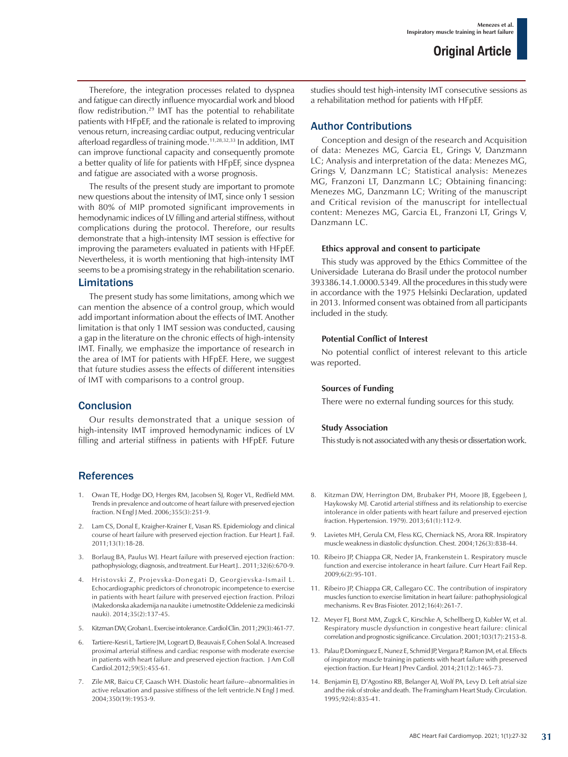Therefore, the integration processes related to dyspnea and fatigue can directly influence myocardial work and blood flow redistribution.<sup>29</sup> IMT has the potential to rehabilitate patients with HFpEF, and the rationale is related to improving venous return, increasing cardiac output, reducing ventricular afterload regardless of training mode.11,28,32,33 In addition, IMT can improve functional capacity and consequently promote a better quality of life for patients with HFpEF, since dyspnea and fatigue are associated with a worse prognosis.

The results of the present study are important to promote new questions about the intensity of IMT, since only 1 session with 80% of MIP promoted significant improvements in hemodynamic indices of LV filling and arterial stiffness, without complications during the protocol. Therefore, our results demonstrate that a high-intensity IMT session is effective for improving the parameters evaluated in patients with HFpEF. Nevertheless, it is worth mentioning that high-intensity IMT seems to be a promising strategy in the rehabilitation scenario.

### Limitations

The present study has some limitations, among which we can mention the absence of a control group, which would add important information about the effects of IMT. Another limitation is that only 1 IMT session was conducted, causing a gap in the literature on the chronic effects of high-intensity IMT. Finally, we emphasize the importance of research in the area of IMT for patients with HFpEF. Here, we suggest that future studies assess the effects of different intensities of IMT with comparisons to a control group.

## **Conclusion**

Our results demonstrated that a unique session of high-intensity IMT improved hemodynamic indices of LV filling and arterial stiffness in patients with HFpEF. Future

## References

- 1. Owan TE, Hodge DO, Herges RM, Jacobsen SJ, Roger VL, Redfield MM. Trends in prevalence and outcome of heart failure with preserved ejection fraction. N Engl J Med. 2006;355(3):251-9.
- 2. Lam CS, Donal E, Kraigher-Krainer E, Vasan RS. Epidemiology and clinical course of heart failure with preserved ejection fraction. Eur Heart J. Fail. 2011;13(1):18-28.
- 3. Borlaug BA, Paulus WJ. Heart failure with preserved ejection fraction: pathophysiology, diagnosis, and treatment. Eur Heart J.. 2011;32(6):670-9.
- 4. Hristovski Z, Projevska-Donegati D, Georgievska-Ismail L. Echocardiographic predictors of chronotropic incompetence to exercise in patients with heart failure with preserved ejection fraction. Prilozi (Makedonska akademija na naukite i umetnostite Oddelenie za medicinski nauki). 2014;35(2):137-45.
- 5. Kitzman DW, Groban L. Exercise intolerance. Cardiol Clin. 2011;29(3):461-77.
- 6. Tartiere-Kesri L, Tartiere JM, Logeart D, Beauvais F, Cohen Solal A. Increased proximal arterial stiffness and cardiac response with moderate exercise in patients with heart failure and preserved ejection fraction. J Am Coll Cardiol.2012;59(5):455-61.
- 7. Zile MR, Baicu CF, Gaasch WH. Diastolic heart failure--abnormalities in active relaxation and passive stiffness of the left ventricle.N Engl J med. 2004;350(19):1953-9.

studies should test high-intensity IMT consecutive sessions as a rehabilitation method for patients with HFpEF.

### Author Contributions

Conception and design of the research and Acquisition of data: Menezes MG, Garcia EL, Grings V, Danzmann LC; Analysis and interpretation of the data: Menezes MG, Grings V, Danzmann LC; Statistical analysis: Menezes MG, Franzoni LT, Danzmann LC; Obtaining financing: Menezes MG, Danzmann LC; Writing of the manuscript and Critical revision of the manuscript for intellectual content: Menezes MG, Garcia EL, Franzoni LT, Grings V, Danzmann I C.

#### **Ethics approval and consent to participate**

This study was approved by the Ethics Committee of the Universidade Luterana do Brasil under the protocol number 393386.14.1.0000.5349. All the procedures in this study were in accordance with the 1975 Helsinki Declaration, updated in 2013. Informed consent was obtained from all participants included in the study.

#### **Potential Conflict of Interest**

No potential conflict of interest relevant to this article was reported.

#### **Sources of Funding**

There were no external funding sources for this study.

#### **Study Association**

This study is not associated with any thesis or dissertation work.

- 8. Kitzman DW, Herrington DM, Brubaker PH, Moore JB, Eggebeen J, Haykowsky MJ. Carotid arterial stiffness and its relationship to exercise intolerance in older patients with heart failure and preserved ejection fraction. Hypertension. 1979). 2013;61(1):112-9.
- 9. Lavietes MH, Gerula CM, Fless KG, Cherniack NS, Arora RR. Inspiratory muscle weakness in diastolic dysfunction. Chest. 2004;126(3):838-44.
- 10. Ribeiro JP, Chiappa GR, Neder JA, Frankenstein L. Respiratory muscle function and exercise intolerance in heart failure. Curr Heart Fail Rep. 2009;6(2):95-101.
- 11. Ribeiro JP, Chiappa GR, Callegaro CC. The contribution of inspiratory muscles function to exercise limitation in heart failure: pathophysiological mechanisms. R ev Bras Fisioter. 2012;16(4):261-7.
- 12. Meyer FJ, Borst MM, Zugck C, Kirschke A, Schellberg D, Kubler W, et al. Respiratory muscle dysfunction in congestive heart failure: clinical correlation and prognostic significance. Circulation. 2001;103(17):2153-8.
- 13. Palau P, Dominguez E, Nunez E, Schmid JP, Vergara P, Ramon JM, et al. Effects of inspiratory muscle training in patients with heart failure with preserved ejection fraction. Eur Heart J Prev Cardiol. 2014;21(12):1465-73.
- 14. Benjamin EJ, D'Agostino RB, Belanger AJ, Wolf PA, Levy D. Left atrial size and the risk of stroke and death. The Framingham Heart Study. Circulation. 1995;92(4):835-41.